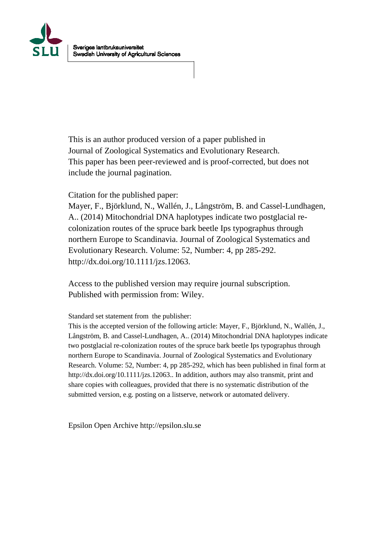

This is an author produced version of a paper published in Journal of Zoological Systematics and Evolutionary Research. This paper has been peer-reviewed and is proof-corrected, but does not include the journal pagination.

Citation for the published paper:

Mayer, F., Björklund, N., Wallén, J., Långström, B. and Cassel-Lundhagen, A.. (2014) Mitochondrial DNA haplotypes indicate two postglacial recolonization routes of the spruce bark beetle Ips typographus through northern Europe to Scandinavia. Journal of Zoological Systematics and Evolutionary Research. Volume: 52, Number: 4, pp 285-292. http://dx.doi.org/10.1111/jzs.12063.

Access to the published version may require journal subscription. Published with permission from: Wiley.

Standard set statement from the publisher:

This is the accepted version of the following article: Mayer, F., Björklund, N., Wallén, J., Långström, B. and Cassel-Lundhagen, A.. (2014) Mitochondrial DNA haplotypes indicate two postglacial re-colonization routes of the spruce bark beetle Ips typographus through northern Europe to Scandinavia. Journal of Zoological Systematics and Evolutionary Research. Volume: 52, Number: 4, pp 285-292, which has been published in final form at http://dx.doi.org/10.1111/jzs.12063.. In addition, authors may also transmit, print and share copies with colleagues, provided that there is no systematic distribution of the submitted version, e.g. posting on a listserve, network or automated delivery.

Epsilon Open Archive http://epsilon.slu.se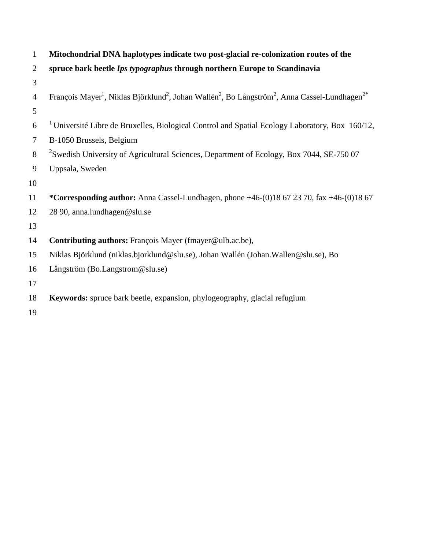| $\mathbf{1}$   | Mitochondrial DNA haplotypes indicate two post-glacial re-colonization routes of the                                                                      |
|----------------|-----------------------------------------------------------------------------------------------------------------------------------------------------------|
| $\overline{2}$ | spruce bark beetle Ips typographus through northern Europe to Scandinavia                                                                                 |
| 3              |                                                                                                                                                           |
| $\overline{4}$ | François Mayer <sup>1</sup> , Niklas Björklund <sup>2</sup> , Johan Wallén <sup>2</sup> , Bo Långström <sup>2</sup> , Anna Cassel-Lundhagen <sup>2*</sup> |
| 5              |                                                                                                                                                           |
| 6              | <sup>1</sup> Université Libre de Bruxelles, Biological Control and Spatial Ecology Laboratory, Box 160/12,                                                |
| $\tau$         | B-1050 Brussels, Belgium                                                                                                                                  |
| 8              | <sup>2</sup> Swedish University of Agricultural Sciences, Department of Ecology, Box 7044, SE-750 07                                                      |
| $\overline{9}$ | Uppsala, Sweden                                                                                                                                           |
| 10             |                                                                                                                                                           |
| 11             | *Corresponding author: Anna Cassel-Lundhagen, phone $+46-(0)18672370$ , fax $+46-(0)1867$                                                                 |
| 12             | 28 90, anna.lundhagen@slu.se                                                                                                                              |
| 13             |                                                                                                                                                           |
| 14             | Contributing authors: François Mayer (fmayer@ulb.ac.be),                                                                                                  |
| 15             | Niklas Björklund (niklas.bjorklund@slu.se), Johan Wallén (Johan.Wallen@slu.se), Bo                                                                        |
| 16             | Långström (Bo.Langstrom@slu.se)                                                                                                                           |
| 17             |                                                                                                                                                           |
| 18             | Keywords: spruce bark beetle, expansion, phylogeography, glacial refugium                                                                                 |
| 19             |                                                                                                                                                           |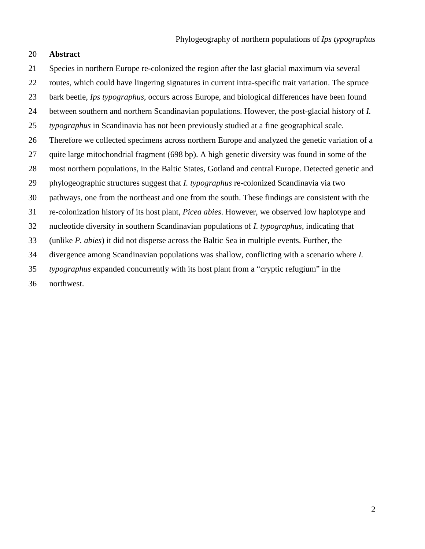## **Abstract**

 Species in northern Europe re-colonized the region after the last glacial maximum via several routes, which could have lingering signatures in current intra-specific trait variation. The spruce bark beetle, *Ips typographus*, occurs across Europe, and biological differences have been found between southern and northern Scandinavian populations. However, the post-glacial history of *I. typographus* in Scandinavia has not been previously studied at a fine geographical scale. Therefore we collected specimens across northern Europe and analyzed the genetic variation of a quite large mitochondrial fragment (698 bp). A high genetic diversity was found in some of the most northern populations, in the Baltic States, Gotland and central Europe. Detected genetic and phylogeographic structures suggest that *I. typographus* re-colonized Scandinavia via two pathways, one from the northeast and one from the south. These findings are consistent with the re-colonization history of its host plant, *Picea abies*. However, we observed low haplotype and nucleotide diversity in southern Scandinavian populations of *I. typographus*, indicating that (unlike *P. abies*) it did not disperse across the Baltic Sea in multiple events. Further, the divergence among Scandinavian populations was shallow, conflicting with a scenario where *I. typographus* expanded concurrently with its host plant from a "cryptic refugium" in the northwest.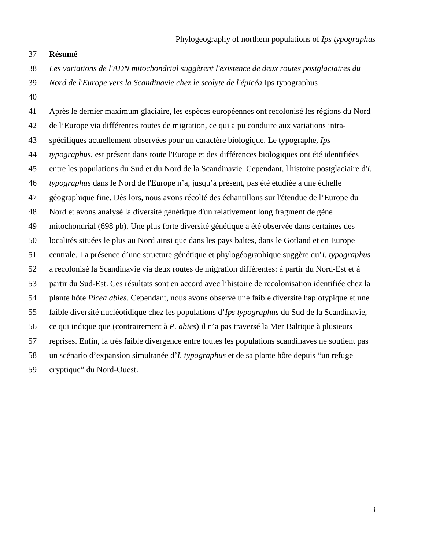## **Résumé**

- *Les variations de l'ADN mitochondrial suggèrent l'existence de deux routes postglaciaires du*
- *Nord de l'Europe vers la Scandinavie chez le scolyte de l'épicéa* Ips typographus
- 

 Après le dernier maximum glaciaire, les espèces européennes ont recolonisé les régions du Nord de l'Europe via différentes routes de migration, ce qui a pu conduire aux variations intra- spécifiques actuellement observées pour un caractère biologique. Le typographe, *Ips typographus*, est présent dans toute l'Europe et des différences biologiques ont été identifiées entre les populations du Sud et du Nord de la Scandinavie. Cependant, l'histoire postglaciaire d'*I. typographus* dans le Nord de l'Europe n'a, jusqu'à présent, pas été étudiée à une échelle géographique fine. Dès lors, nous avons récolté des échantillons sur l'étendue de l'Europe du Nord et avons analysé la diversité génétique d'un relativement long fragment de gène mitochondrial (698 pb). Une plus forte diversité génétique a été observée dans certaines des localités situées le plus au Nord ainsi que dans les pays baltes, dans le Gotland et en Europe centrale. La présence d'une structure génétique et phylogéographique suggère qu'*I. typographus*  a recolonisé la Scandinavie via deux routes de migration différentes: à partir du Nord-Est et à partir du Sud-Est. Ces résultats sont en accord avec l'histoire de recolonisation identifiée chez la plante hôte *Picea abies*. Cependant, nous avons observé une faible diversité haplotypique et une faible diversité nucléotidique chez les populations d'*Ips typographus* du Sud de la Scandinavie, ce qui indique que (contrairement à *P. abies*) il n'a pas traversé la Mer Baltique à plusieurs reprises. Enfin, la très faible divergence entre toutes les populations scandinaves ne soutient pas un scénario d'expansion simultanée d'*I. typographus* et de sa plante hôte depuis "un refuge cryptique" du Nord-Ouest.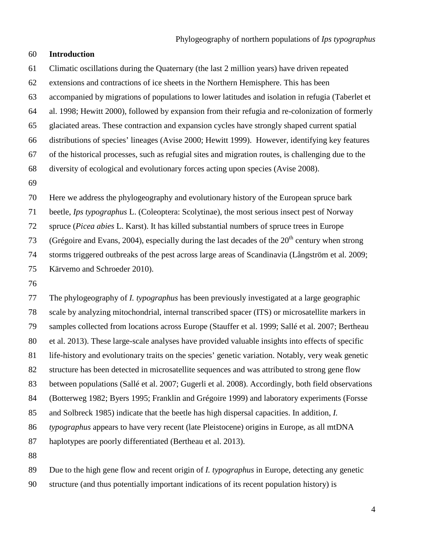## **Introduction**

 Climatic oscillations during the Quaternary (the last 2 million years) have driven repeated extensions and contractions of ice sheets in the Northern Hemisphere. This has been accompanied by migrations of populations to lower latitudes and isolation in refugia (Taberlet et al. 1998; Hewitt 2000), followed by expansion from their refugia and re-colonization of formerly glaciated areas. These contraction and expansion cycles have strongly shaped current spatial distributions of species' lineages (Avise 2000; Hewitt 1999). However, identifying key features of the historical processes, such as refugial sites and migration routes, is challenging due to the diversity of ecological and evolutionary forces acting upon species (Avise 2008). 

 Here we address the phylogeography and evolutionary history of the European spruce bark beetle, *Ips typographus* L. (Coleoptera: Scolytinae), the most serious insect pest of Norway spruce (*Picea abies* L. Karst). It has killed substantial numbers of spruce trees in Europe [\(Grégoire and Evans, 2004\)](#page-16-0), especially during the last decades of the  $20<sup>th</sup>$  century when strong storms triggered outbreaks of the pest across large areas of Scandinavia [\(Långström et al.](#page-17-0) 2009; [Kärvemo and Schroeder 2010\)](#page-17-1).

 The phylogeography of *I. typographus* has been previously investigated at a large geographic scale by analyzing mitochondrial, internal transcribed spacer (ITS) or microsatellite markers in samples collected from locations across Europe (Stauffer et al. 1999; Sallé et al. 2007; Bertheau et al. 2013). These large-scale analyses have provided valuable insights into effects of specific life-history and evolutionary traits on the species' genetic variation. Notably, very weak genetic structure has been detected in microsatellite sequences and was attributed to strong gene flow between populations (Sallé et al. 2007; Gugerli et al. 2008). Accordingly, both field observations (Botterweg 1982; Byers 1995; Franklin and Grégoire 1999) and laboratory experiments (Forsse and Solbreck 1985) indicate that the beetle has high dispersal capacities. In addition, *I. typographus* appears to have very recent (late Pleistocene) origins in Europe, as all mtDNA haplotypes are poorly differentiated (Bertheau et al. 2013). 

 Due to the high gene flow and recent origin of *I. typographus* in Europe, detecting any genetic structure (and thus potentially important indications of its recent population history) is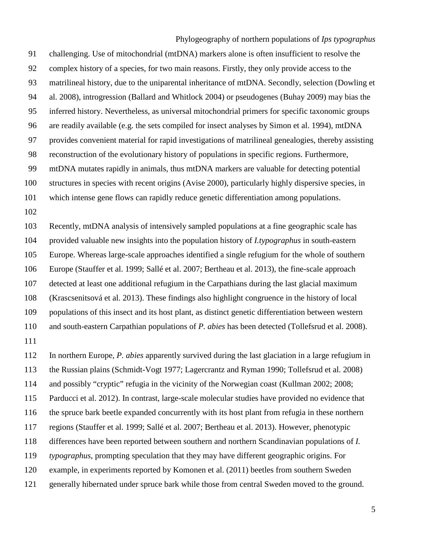Phylogeography of northern populations of *Ips typographus* challenging. Use of mitochondrial (mtDNA) markers alone is often insufficient to resolve the complex history of a species, for two main reasons. Firstly, they only provide access to the matrilineal history, due to the uniparental inheritance of mtDNA. Secondly, selection (Dowling et al. 2008), introgression (Ballard and Whitlock 2004) or pseudogenes (Buhay 2009) may bias the inferred history. Nevertheless, as universal mitochondrial primers for specific taxonomic groups are readily available (e.g. the sets compiled for insect analyses by Simon et al. 1994), mtDNA provides convenient material for rapid investigations of matrilineal genealogies, thereby assisting reconstruction of the evolutionary history of populations in specific regions. Furthermore, mtDNA mutates rapidly in animals, thus mtDNA markers are valuable for detecting potential structures in species with recent origins (Avise 2000), particularly highly dispersive species, in which intense gene flows can rapidly reduce genetic differentiation among populations.

 Recently, mtDNA analysis of intensively sampled populations at a fine geographic scale has provided valuable new insights into the population history of *I.typographus* in south-eastern Europe. Whereas large-scale approaches identified a single refugium for the whole of southern Europe (Stauffer et al. 1999; Sallé et al. 2007; Bertheau et al. 2013), the fine-scale approach detected at least one additional refugium in the Carpathians during the last glacial maximum (Krascsenitsová et al. 2013). These findings also highlight congruence in the history of local populations of this insect and its host plant, as distinct genetic differentiation between western and south-eastern Carpathian populations of *P. abies* has been detected (Tollefsrud et al. 2008).

 In northern Europe, *P. abies* apparently survived during the last glaciation in a large refugium in the Russian plains (Schmidt-Vogt 1977; Lagercrantz and Ryman 1990; Tollefsrud et al. 2008) and possibly "cryptic" refugia in the vicinity of the Norwegian coast [\(Kullman 2002;](#page-17-2) 2008; [Parducci et al.](#page-18-0) 2012). In contrast, large-scale molecular studies have provided no evidence that the spruce bark beetle expanded concurrently with its host plant from refugia in these northern regions (Stauffer et al. 1999; Sallé et al. 2007; Bertheau et al. 2013). However, phenotypic differences have been reported between southern and northern Scandinavian populations of *I. typographus*, prompting speculation that they may have different geographic origins. For example, in experiments reported by Komonen et al. (2011) beetles from southern Sweden generally hibernated under spruce bark while those from central Sweden moved to the ground.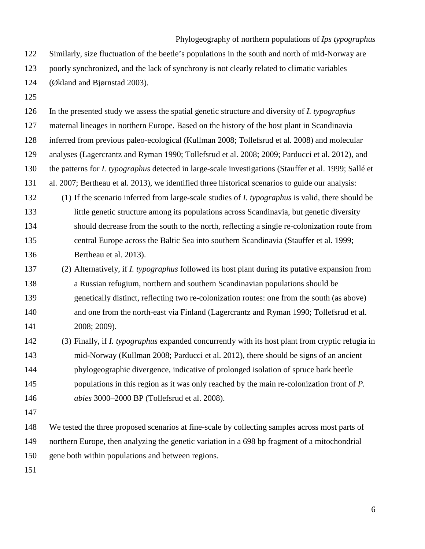Phylogeography of northern populations of *Ips typographus* Similarly, size fluctuation of the beetle's populations in the south and north of mid-Norway are poorly synchronized, and the lack of synchrony is not clearly related to climatic variables (Økland and Bjørnstad 2003).

 In the presented study we assess the spatial genetic structure and diversity of *I. typographus*  maternal lineages in northern Europe. Based on the history of the host plant in Scandinavia inferred from previous paleo-ecological [\(Kullman 2008;](#page-17-3) Tollefsrud et al. 2008) and molecular analyses (Lagercrantz and Ryman 1990; Tollefsrud et al. 2008; 2009; Parducci et al. 2012), and the patterns for *I. typographus* detected in large-scale investigations (Stauffer et al. 1999; Sallé et al. 2007; Bertheau et al. 2013), we identified three historical scenarios to guide our analysis: (1) If the scenario inferred from large-scale studies of *I. typographus* is valid, there should be little genetic structure among its populations across Scandinavia, but genetic diversity should decrease from the south to the north, reflecting a single re-colonization route from central Europe across the Baltic Sea into southern Scandinavia (Stauffer et al. 1999; Bertheau et al. 2013).

- (2) Alternatively, if *I. typographus* followed its host plant during its putative expansion from a Russian refugium, northern and southern Scandinavian populations should be genetically distinct, reflecting two re-colonization routes: one from the south (as above) and one from the north-east via Finland (Lagercrantz and Ryman 1990; Tollefsrud et al. 2008; 2009).
- (3) Finally, if *I. typographus* expanded concurrently with its host plant from cryptic refugia in mid-Norway (Kullman 2008; Parducci et al. 2012), there should be signs of an ancient phylogeographic divergence, indicative of prolonged isolation of spruce bark beetle populations in this region as it was only reached by the main re-colonization front of *P. abies* 3000–2000 BP (Tollefsrud et al. 2008).
- 

 We tested the three proposed scenarios at fine-scale by collecting samples across most parts of northern Europe, then analyzing the genetic variation in a 698 bp fragment of a mitochondrial gene both within populations and between regions.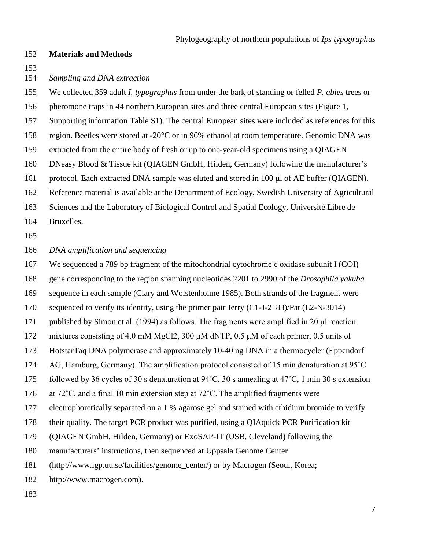### **Materials and Methods**

*Sampling and DNA extraction*

 We collected 359 adult *I. typographus* from under the bark of standing or felled *P. abies* trees or pheromone traps in 44 northern European sites and three central European sites (Figure 1, Supporting information Table S1). The central European sites were included as references for this region. Beetles were stored at -20°C or in 96% ethanol at room temperature. Genomic DNA was extracted from the entire body of fresh or up to one-year-old specimens using a QIAGEN DNeasy Blood & Tissue kit (QIAGEN GmbH, Hilden, Germany) following the manufacturer's protocol. Each extracted DNA sample was eluted and stored in 100 μl of AE buffer (QIAGEN). Reference material is available at the Department of Ecology, Swedish University of Agricultural Sciences and the Laboratory of Biological Control and Spatial Ecology, Université Libre de Bruxelles. *DNA amplification and sequencing* We sequenced a 789 bp fragment of the mitochondrial cytochrome c oxidase subunit I (COI) gene corresponding to the region spanning nucleotides 2201 to 2990 of the *Drosophila yakuba* sequence in each sample (Clary and Wolstenholme 1985). Both strands of the fragment were sequenced to verify its identity, using the primer pair Jerry (C1-J-2183)/Pat (L2-N-3014)

published by Simon et al. (1994) as follows. The fragments were amplified in 20 μl reaction

mixtures consisting of 4.0 mM MgCl2, 300 μM dNTP, 0.5 μM of each primer, 0.5 units of

HotstarTaq DNA polymerase and approximately 10-40 ng DNA in a thermocycler (Eppendorf

AG, Hamburg, Germany). The amplification protocol consisted of 15 min denaturation at 95˚C

175 followed by 36 cycles of 30 s denaturation at  $94^{\circ}$ C, 30 s annealing at 47<sup>°</sup>C, 1 min 30 s extension

at 72˚C, and a final 10 min extension step at 72˚C. The amplified fragments were

electrophoretically separated on a 1 % agarose gel and stained with ethidium bromide to verify

their quality. The target PCR product was purified, using a QIAquick PCR Purification kit

(QIAGEN GmbH, Hilden, Germany) or ExoSAP-IT (USB, Cleveland) following the

manufacturers' instructions, then sequenced at Uppsala Genome Center

(http://www.igp.uu.se/facilities/genome\_center/) or by Macrogen (Seoul, Korea;

http://www.macrogen.com).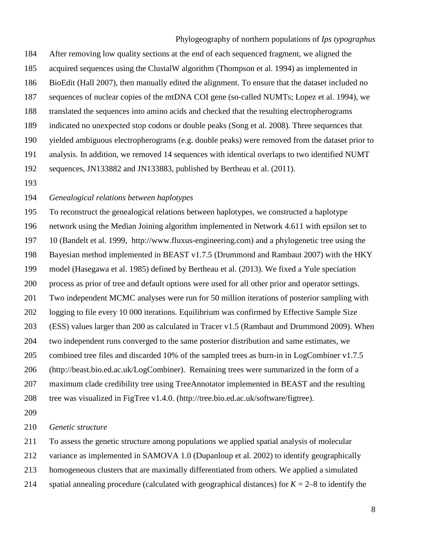After removing low quality sections at the end of each sequenced fragment, we aligned the acquired sequences using the ClustalW algorithm [\(Thompson et al.](#page-18-1) 1994) as implemented in BioEdit (Hall 2007), then manually edited the alignment. To ensure that the dataset included no sequences of nuclear copies of the mtDNA COI gene (so-called NUMTs; Lopez et al. 1994), we translated the sequences into amino acids and checked that the resulting electropherograms indicated no unexpected stop codons or double peaks (Song et al. 2008). Three sequences that yielded ambiguous electropherograms (e.g. double peaks) were removed from the dataset prior to analysis. In addition, we removed 14 sequences with identical overlaps to two identified NUMT sequences, JN133882 and JN133883, published by Bertheau et al. (2011).

## *Genealogical relations between haplotypes*

 To reconstruct the genealogical relations between haplotypes, we constructed a haplotype network using the Median Joining algorithm implemented in Network 4.611 with epsilon set to 10 (Bandelt et al. 1999, http://www.fluxus-engineering.com) and a phylogenetic tree using the Bayesian method implemented in BEAST v1.7.5 (Drummond and Rambaut 2007) with the HKY model (Hasegawa et al. 1985) defined by Bertheau et al. (2013). We fixed a Yule speciation process as prior of tree and default options were used for all other prior and operator settings. Two independent MCMC analyses were run for 50 million iterations of posterior sampling with logging to file every 10 000 iterations. Equilibrium was confirmed by Effective Sample Size (ESS) values larger than 200 as calculated in Tracer v1.5 (Rambaut and Drummond 2009). When two independent runs converged to the same posterior distribution and same estimates, we combined tree files and discarded 10% of the sampled trees as burn-in in LogCombiner v1.7.5 (http://beast.bio.ed.ac.uk/LogCombiner). Remaining trees were summarized in the form of a maximum clade credibility tree using TreeAnnotator implemented in BEAST and the resulting tree was visualized in FigTree v1.4.0. (http://tree.bio.ed.ac.uk/software/figtree).

## *Genetic structure*

To assess the genetic structure among populations we applied spatial analysis of molecular

variance as implemented in SAMOVA 1.0 (Dupanloup et al. 2002) to identify geographically

homogeneous clusters that are maximally differentiated from others. We applied a simulated

214 spatial annealing procedure (calculated with geographical distances) for  $K = 2-8$  to identify the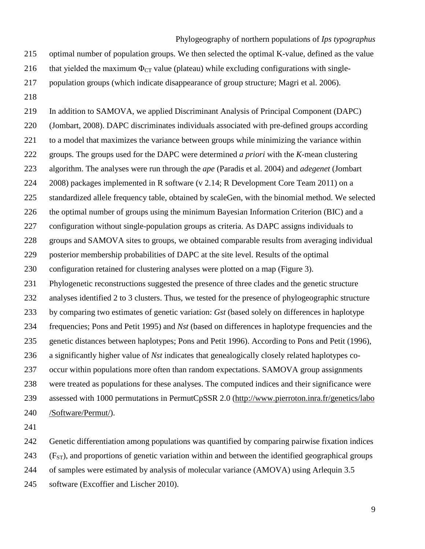optimal number of population groups. We then selected the optimal K-value, defined as the value

216 that yielded the maximum  $\Phi_{CT}$  value (plateau) while excluding configurations with single-

population groups (which indicate disappearance of group structure; Magri et al. 2006).

 In addition to SAMOVA, we applied Discriminant Analysis of Principal Component (DAPC) [\(Jombart, 2008\)](#page-17-4). DAPC discriminates individuals associated with pre-defined groups according to a model that maximizes the variance between groups while minimizing the variance within groups. The groups used for the DAPC were determined *a priori* with the *K*-mean clustering algorithm. The analyses were run through the *ape* [\(Paradis et al.](#page-18-2) 2004) and *adegenet* [\(Jombart](#page-17-4)  [2008\)](#page-17-4) packages implemented in R software (v 2.14; R Development Core Team 2011) on a standardized allele frequency table, obtained by scaleGen, with the binomial method. We selected the optimal number of groups using the minimum Bayesian Information Criterion (BIC) and a configuration without single-population groups as criteria. As DAPC assigns individuals to groups and SAMOVA sites to groups, we obtained comparable results from averaging individual posterior membership probabilities of DAPC at the site level. Results of the optimal configuration retained for clustering analyses were plotted on a map (Figure 3). Phylogenetic reconstructions suggested the presence of three clades and the genetic structure analyses identified 2 to 3 clusters. Thus, we tested for the presence of phylogeographic structure by comparing two estimates of genetic variation: *Gst* (based solely on differences in haplotype frequencies; Pons and Petit 1995) and *Nst* (based on differences in haplotype frequencies and the genetic distances between haplotypes; Pons and Petit 1996). According to Pons and Petit (1996), a significantly higher value of *Nst* indicates that genealogically closely related haplotypes co- occur within populations more often than random expectations. SAMOVA group assignments were treated as populations for these analyses. The computed indices and their significance were assessed with 1000 permutations in PermutCpSSR 2.0 [\(http://www.pierroton.inra.fr/genetics/labo](http://www.pierroton.inra.fr/genetics/labo%20/Software/Permut/)  [/Software/Permut/\)](http://www.pierroton.inra.fr/genetics/labo%20/Software/Permut/).

Genetic differentiation among populations was quantified by comparing pairwise fixation indices

(F<sub>ST</sub>), and proportions of genetic variation within and between the identified geographical groups

of samples were estimated by analysis of molecular variance (AMOVA) using Arlequin 3.5

software [\(Excoffier and Lischer 2010\)](#page-16-1).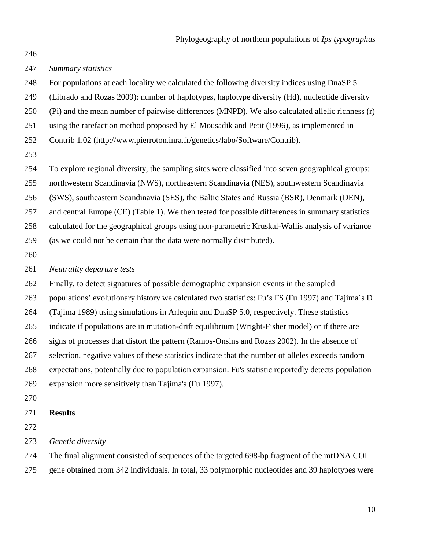### *Summary statistics*

- For populations at each locality we calculated the following diversity indices using DnaSP 5
- [\(Librado and Rozas 2009\)](#page-17-5): number of haplotypes, haplotype diversity (Hd), nucleotide diversity
- (Pi) and the mean number of pairwise differences (MNPD). We also calculated allelic richness (r)
- using the rarefaction method proposed by El Mousadik and Petit (1996), as implemented in
- Contrib 1.02 (http://www.pierroton.inra.fr/genetics/labo/Software/Contrib).
- 

To explore regional diversity, the sampling sites were classified into seven geographical groups:

northwestern Scandinavia (NWS), northeastern Scandinavia (NES), southwestern Scandinavia

(SWS), southeastern Scandinavia (SES), the Baltic States and Russia (BSR), Denmark (DEN),

and central Europe (CE) (Table 1). We then tested for possible differences in summary statistics

 calculated for the geographical groups using non-parametric Kruskal-Wallis analysis of variance (as we could not be certain that the data were normally distributed).

#### *Neutrality departure tests*

Finally, to detect signatures of possible demographic expansion events in the sampled

- populations' evolutionary history we calculated two statistics: Fu's FS (Fu 1997) and Tajima´s D
- (Tajima 1989) using simulations in Arlequin and DnaSP 5.0, respectively. These statistics

indicate if populations are in mutation-drift equilibrium (Wright-Fisher model) or if there are

- signs of processes that distort the pattern (Ramos-Onsins and Rozas 2002). In the absence of
- selection, negative values of these statistics indicate that the number of alleles exceeds random
- expectations, potentially due to population expansion. Fu's statistic reportedly detects population expansion more sensitively than Tajima's (Fu 1997).
- 

## **Results**

- 
- *Genetic diversity*
- The final alignment consisted of sequences of the targeted 698-bp fragment of the mtDNA COI
- gene obtained from 342 individuals. In total, 33 polymorphic nucleotides and 39 haplotypes were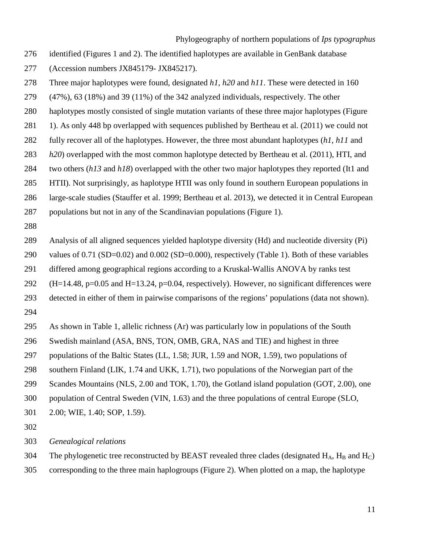- identified (Figures 1 and 2). The identified haplotypes are available in GenBank database
- (Accession numbers JX845179- JX845217).
- Three major haplotypes were found, designated *h1*, *h20* and *h11*. These were detected in 160
- (47%), 63 (18%) and 39 (11%) of the 342 analyzed individuals, respectively. The other
- haplotypes mostly consisted of single mutation variants of these three major haplotypes (Figure
- 281 1). As only 448 bp overlapped with sequences published by Bertheau et al. (2011) we could not
- fully recover all of the haplotypes. However, the three most abundant haplotypes (*h1*, *h11* and
- *h20*) overlapped with the most common haplotype detected by Bertheau et al. (2011), HTI, and
- two others (*h13* and *h18*) overlapped with the other two major haplotypes they reported (It1 and
- HTII). Not surprisingly, as haplotype HTII was only found in southern European populations in
- large-scale studies (Stauffer et al. 1999; Bertheau et al. 2013), we detected it in Central European
- populations but not in any of the Scandinavian populations (Figure 1).
- 
- Analysis of all aligned sequences yielded haplotype diversity (Hd) and nucleotide diversity (Pi)
- values of 0.71 (SD=0.02) and 0.002 (SD=0.000), respectively (Table 1). Both of these variables
- differed among geographical regions according to a Kruskal-Wallis ANOVA by ranks test
- (H=14.48, p=0.05 and H=13.24, p=0.04, respectively). However, no significant differences were
- detected in either of them in pairwise comparisons of the regions' populations (data not shown).
- As shown in Table 1, allelic richness (Ar) was particularly low in populations of the South
- Swedish mainland (ASA, BNS, TON, OMB, GRA, NAS and TIE) and highest in three
- populations of the Baltic States (LL, 1.58; JUR, 1.59 and NOR, 1.59), two populations of
- southern Finland (LIK, 1.74 and UKK, 1.71), two populations of the Norwegian part of the
- Scandes Mountains (NLS, 2.00 and TOK, 1.70), the Gotland island population (GOT, 2.00), one
- population of Central Sweden (VIN, 1.63) and the three populations of central Europe (SLO,
- 2.00; WIE, 1.40; SOP, 1.59).
- 
- *Genealogical relations*
- 304 The phylogenetic tree reconstructed by BEAST revealed three clades (designated  $H_A$ ,  $H_B$  and  $H_C$ )
- corresponding to the three main haplogroups (Figure 2). When plotted on a map, the haplotype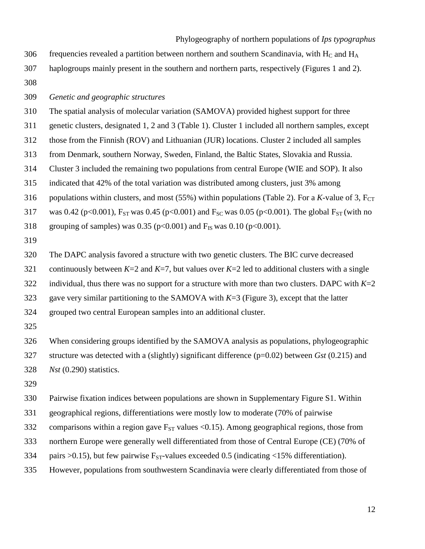Phylogeography of northern populations of *Ips typographus* 306 frequencies revealed a partition between northern and southern Scandinavia, with  $H_C$  and  $H_A$  haplogroups mainly present in the southern and northern parts, respectively (Figures 1 and 2). 

*Genetic and geographic structures* 

The spatial analysis of molecular variation (SAMOVA) provided highest support for three

genetic clusters, designated 1, 2 and 3 (Table 1). Cluster 1 included all northern samples, except

those from the Finnish (ROV) and Lithuanian (JUR) locations. Cluster 2 included all samples

from Denmark, southern Norway, Sweden, Finland, the Baltic States, Slovakia and Russia.

Cluster 3 included the remaining two populations from central Europe (WIE and SOP). It also

indicated that 42% of the total variation was distributed among clusters, just 3% among

316 populations within clusters, and most (55%) within populations (Table 2). For a *K*-value of 3,  $F_{CT}$ 

317 was 0.42 (p<0.001),  $F_{ST}$  was 0.45 (p<0.001) and  $F_{SC}$  was 0.05 (p<0.001). The global  $F_{ST}$  (with no

318 grouping of samples) was 0.35 (p<0.001) and  $F_{IS}$  was 0.10 (p<0.001).

The DAPC analysis favored a structure with two genetic clusters. The BIC curve decreased

321 continuously between  $K=2$  and  $K=7$ , but values over  $K=2$  led to additional clusters with a single

322 individual, thus there was no support for a structure with more than two clusters. DAPC with  $K=2$ 

gave very similar partitioning to the SAMOVA with *K*=3 (Figure 3), except that the latter

grouped two central European samples into an additional cluster.

 When considering groups identified by the SAMOVA analysis as populations, phylogeographic structure was detected with a (slightly) significant difference (p=0.02) between *Gst* (0.215) and *Nst* (0.290) statistics.

Pairwise fixation indices between populations are shown in Supplementary Figure S1. Within

geographical regions, differentiations were mostly low to moderate (70% of pairwise

332 comparisons within a region gave  $F_{ST}$  values <0.15). Among geographical regions, those from

northern Europe were generally well differentiated from those of Central Europe (CE) (70% of

334 pairs  $>0.15$ ), but few pairwise F<sub>ST</sub>-values exceeded 0.5 (indicating  $<$ 15% differentiation).

However, populations from southwestern Scandinavia were clearly differentiated from those of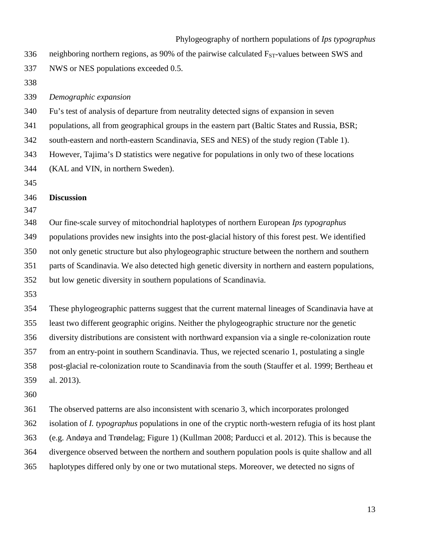|     | Phylogeography of northern populations of Ips typographus                                                    |
|-----|--------------------------------------------------------------------------------------------------------------|
| 336 | neighboring northern regions, as 90% of the pairwise calculated $F_{ST}$ -values between SWS and             |
| 337 | NWS or NES populations exceeded 0.5.                                                                         |
| 338 |                                                                                                              |
| 339 | Demographic expansion                                                                                        |
| 340 | Fu's test of analysis of departure from neutrality detected signs of expansion in seven                      |
| 341 | populations, all from geographical groups in the eastern part (Baltic States and Russia, BSR;                |
| 342 | south-eastern and north-eastern Scandinavia, SES and NES) of the study region (Table 1).                     |
| 343 | However, Tajima's D statistics were negative for populations in only two of these locations                  |
| 344 | (KAL and VIN, in northern Sweden).                                                                           |
| 345 |                                                                                                              |
| 346 | <b>Discussion</b>                                                                                            |
| 347 |                                                                                                              |
| 348 | Our fine-scale survey of mitochondrial haplotypes of northern European Ips typographus                       |
| 349 | populations provides new insights into the post-glacial history of this forest pest. We identified           |
| 350 | not only genetic structure but also phylogeographic structure between the northern and southern              |
| 351 | parts of Scandinavia. We also detected high genetic diversity in northern and eastern populations,           |
| 352 | but low genetic diversity in southern populations of Scandinavia.                                            |
| 353 |                                                                                                              |
| 354 | These phylogeographic patterns suggest that the current maternal lineages of Scandinavia have at             |
| 355 | least two different geographic origins. Neither the phylogeographic structure nor the genetic                |
| 356 | diversity distributions are consistent with northward expansion via a single re-colonization route           |
| 357 | from an entry-point in southern Scandinavia. Thus, we rejected scenario 1, postulating a single              |
| 358 | post-glacial re-colonization route to Scandinavia from the south (Stauffer et al. 1999; Bertheau et          |
| 359 | al. 2013).                                                                                                   |
| 360 |                                                                                                              |
| 361 | The observed patterns are also inconsistent with scenario 3, which incorporates prolonged                    |
| 362 | isolation of <i>I. typographus</i> populations in one of the cryptic north-western refugia of its host plant |
| 363 | (e.g. Andøya and Trøndelag; Figure 1) (Kullman 2008; Parducci et al. 2012). This is because the              |
| 364 | divergence observed between the northern and southern population pools is quite shallow and all              |
| 365 | haplotypes differed only by one or two mutational steps. Moreover, we detected no signs of                   |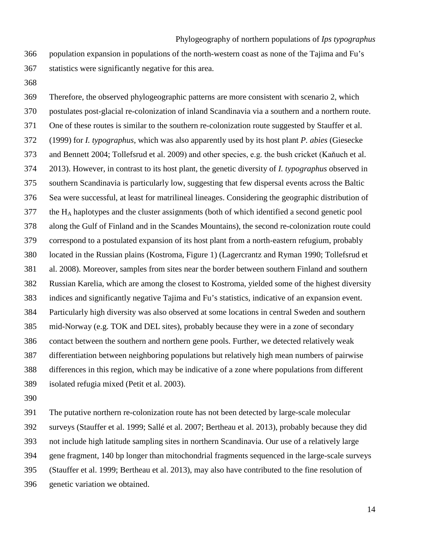population expansion in populations of the north-western coast as none of the Tajima and Fu's statistics were significantly negative for this area.

 Therefore, the observed phylogeographic patterns are more consistent with scenario 2, which postulates post-glacial re-colonization of inland Scandinavia via a southern and a northern route. One of these routes is similar to the southern re-colonization route suggested by Stauffer et al. (1999) for *I. typographus*, which was also apparently used by its host plant *P. abies* (Giesecke and Bennett 2004; Tollefsrud et al. 2009) and other species, e.g. the bush cricket (Kaňuch et al. 2013). However, in contrast to its host plant, the genetic diversity of *I. typographus* observed in southern Scandinavia is particularly low, suggesting that few dispersal events across the Baltic Sea were successful, at least for matrilineal lineages. Considering the geographic distribution of the HA haplotypes and the cluster assignments (both of which identified a second genetic pool along the Gulf of Finland and in the Scandes Mountains), the second re-colonization route could correspond to a postulated expansion of its host plant from a north-eastern refugium, probably located in the Russian plains (Kostroma, Figure 1) (Lagercrantz and Ryman 1990; Tollefsrud et al. 2008). Moreover, samples from sites near the border between southern Finland and southern Russian Karelia, which are among the closest to Kostroma, yielded some of the highest diversity indices and significantly negative Tajima and Fu's statistics, indicative of an expansion event. Particularly high diversity was also observed at some locations in central Sweden and southern mid-Norway (e.g. TOK and DEL sites), probably because they were in a zone of secondary contact between the southern and northern gene pools. Further, we detected relatively weak differentiation between neighboring populations but relatively high mean numbers of pairwise differences in this region, which may be indicative of a zone where populations from different isolated refugia mixed (Petit et al. 2003).

 The putative northern re-colonization route has not been detected by large-scale molecular surveys (Stauffer et al. 1999; Sallé et al. 2007; Bertheau et al. 2013), probably because they did not include high latitude sampling sites in northern Scandinavia. Our use of a relatively large gene fragment, 140 bp longer than mitochondrial fragments sequenced in the large-scale surveys (Stauffer et al. 1999; Bertheau et al. 2013), may also have contributed to the fine resolution of genetic variation we obtained.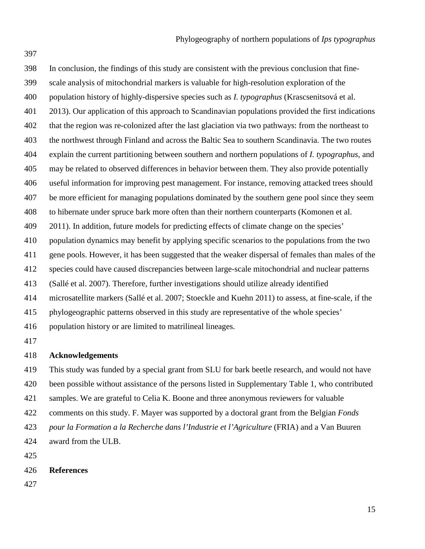In conclusion, the findings of this study are consistent with the previous conclusion that fine- scale analysis of mitochondrial markers is valuable for high-resolution exploration of the population history of highly-dispersive species such as *I. typographus* (Krascsenitsová et al. 2013). Our application of this approach to Scandinavian populations provided the first indications that the region was re-colonized after the last glaciation via two pathways: from the northeast to the northwest through Finland and across the Baltic Sea to southern Scandinavia. The two routes explain the current partitioning between southern and northern populations of *I. typographus*, and may be related to observed differences in behavior between them. They also provide potentially useful information for improving pest management. For instance, removing attacked trees should be more efficient for managing populations dominated by the southern gene pool since they seem to hibernate under spruce bark more often than their northern counterparts (Komonen et al. 2011). In addition, future models for predicting effects of climate change on the species' population dynamics may benefit by applying specific scenarios to the populations from the two gene pools. However, it has been suggested that the weaker dispersal of females than males of the species could have caused discrepancies between large-scale mitochondrial and nuclear patterns (Sallé et al. 2007). Therefore, further investigations should utilize already identified microsatellite markers (Sallé et al. 2007; Stoeckle and Kuehn 2011) to assess, at fine-scale, if the phylogeographic patterns observed in this study are representative of the whole species' population history or are limited to matrilineal lineages. 

## **Acknowledgements**

 This study was funded by a special grant from SLU for bark beetle research, and would not have been possible without assistance of the persons listed in Supplementary Table 1, who contributed samples. We are grateful to Celia K. Boone and three anonymous reviewers for valuable comments on this study. F. Mayer was supported by a doctoral grant from the Belgian *Fonds pour la Formation a la Recherche dans l'Industrie et l'Agriculture* (FRIA) and a Van Buuren award from the ULB. 

**References**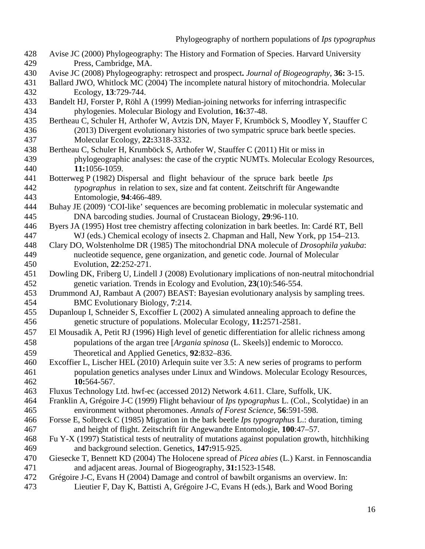- Avise JC (2000) Phylogeography: The History and Formation of Species. Harvard University Press, Cambridge, MA.
- Avise JC (2008) Phylogeography: retrospect and prospect**.** *Journal of Biogeography*, **36:** 3-15.
- Ballard JWO, Whitlock MC (2004) The incomplete natural history of mitochondria. Molecular Ecology, **13**:729-744.
- Bandelt HJ, Forster P, Röhl A (1999) Median-joining networks for inferring intraspecific phylogenies. Molecular Biology and Evolution*,* **16:**37-48.
- Bertheau C, Schuler H, Arthofer W, Avtzis DN, Mayer F, Krumböck S, Moodley Y, Stauffer C (2013) Divergent evolutionary histories of two sympatric spruce bark beetle species. Molecular Ecology*,* **22:**3318-3332.
- Bertheau C, Schuler H, Krumböck S, Arthofer W, Stauffer C (2011) Hit or miss in phylogeographic analyses: the case of the cryptic NUMTs. Molecular Ecology Resources*,* **11:**1056-1059.
- Botterweg P (1982) Dispersal and flight behaviour of the spruce bark beetle *Ips typographus* in relation to sex, size and fat content. Zeitschrift für Angewandte Entomologie, **94**:466-489.
- Buhay JE (2009) 'COI-like' sequences are becoming problematic in molecular systematic and DNA barcoding studies. Journal of Crustacean Biology, **29**:96-110.
- Byers JA (1995) Host tree chemistry affecting colonization in bark beetles. In: Cardé RT, Bell WJ (eds.) Chemical ecology of insects 2. Chapman and Hall, New York, pp 154–213.
- Clary DO, Wolstenholme DR (1985) [The mitochondrial DNA molecule of](http://link.springer.com/article/10.1007/BF02099755) *Drosophila yakuba*: [nucleotide sequence, gene organization, and genetic code.](http://link.springer.com/article/10.1007/BF02099755) Journal of Molecular Evolution, **22**:252-271.
- Dowling DK, Friberg U, Lindell J (2008) Evolutionary implications of non-neutral mitochondrial genetic variation. Trends in Ecology and Evolution, **23**(10):546-554.
- Drummond AJ, Rambaut A (2007) BEAST: Bayesian evolutionary analysis by sampling trees. BMC Evolutionary Biology, **7**:214.
- Dupanloup I, Schneider S, Excoffier L (2002) A simulated annealing approach to define the genetic structure of populations. Molecular Ecology*,* **11:**2571-2581.
- El Mousadik A, Petit RJ (1996) High level of genetic differentiation for allelic richness among populations of the argan tree [*Argania spinosa* (L. Skeels)] endemic to Morocco. Theoretical and Applied Genetics, **92**:832–836.
- <span id="page-16-1"></span> Excoffier L, Lischer HEL (2010) Arlequin suite ver 3.5: A new series of programs to perform population genetics analyses under Linux and Windows. Molecular Ecology Resources*,* **10:**564-567.
- Fluxus Technology Ltd. hwf-ec (accessed 2012) Network 4.611. Clare, Suffolk, UK.
- Franklin A, Grégoire J-C (1999) Flight behaviour of *Ips typographus* L. (Col., Scolytidae) in an environment without pheromones. *Annals of Forest Science*, **56**:591-598.
- Forsse E, Solbreck C (1985) Migration in the bark beetle *Ips typographus* L.: duration, timing and height of flight. Zeitschrift für Angewandte Entomologie, **100**:47–57.
- Fu Y-X (1997) Statistical tests of neutrality of mutations against population growth, hitchhiking and background selection. Genetics*,* **147:**915-925.
- Giesecke T, Bennett KD (2004) The Holocene spread of *Picea abies* (L.) Karst. in Fennoscandia and adjacent areas. Journal of Biogeography*,* **31:**1523-1548.
- <span id="page-16-0"></span>Grégoire J-C, Evans H (2004) Damage and control of bawbilt organisms an overview. In:
- Lieutier F, Day K, Battisti A, Grégoire J-C, Evans H (eds.), Bark and Wood Boring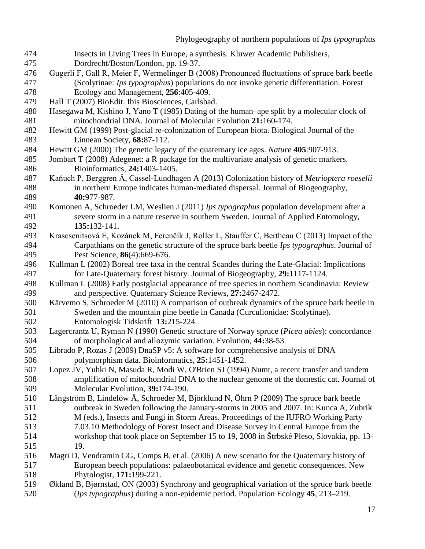- Insects in Living Trees in Europe, a synthesis. Kluwer Academic Publishers,
- 475 Dordrecht/Boston/London, pp. 19-37.<br>476 Gugerli F. Gall R. Meier F. Wermelinger B (2
- Gugerli F, Gall R, Meier F, Wermelinger B (2008) Pronounced fluctuations of spruce bark beetle (Scolytinae: *Ips typographus*) populations do not invoke genetic differentiation. Forest Ecology and Management, **256**:405-409.
- Hall T (2007) BioEdit. Ibis Biosciences, Carlsbad.
- Hasegawa M, Kishino J, Yano T (1985) Dating of the human–ape split by a molecular clock of mitochondrial DNA. Journal of Molecular Evolution **21:**160-174.
- Hewitt GM (1999) Post-glacial re-colonization of European biota. Biological Journal of the Linnean Society*,* **68:**87-112.
- Hewitt GM (2000) The genetic legacy of the quaternary ice ages. *Nature* **405**:907-913.
- <span id="page-17-4"></span> Jombart T (2008) Adegenet: a R package for the multivariate analysis of genetic markers. Bioinformatics*,* **24:**1403-1405.
- Kaňuch P, Berggren Å, Cassel-Lundhagen A (2013) Colonization history of *Metrioptera roeselii* in northern Europe indicates human-mediated dispersal. Journal of Biogeography, **40:**977-987.
- Komonen A, Schroeder LM, Weslien J (2011) *Ips typographus* population development after a severe storm in a nature reserve in southern Sweden. Journal of Applied Entomology*,* **135:**132-141.
- Krascsenitsová E, Kozánek M, Ferenčík J, Roller L, Stauffer C, Bertheau C (2013) Impact of the Carpathians on the genetic structure of the spruce bark beetle *Ips typographus*. Journal of Pest Science, **86**(4):669-676.
- <span id="page-17-2"></span> Kullman L (2002) Boreal tree taxa in the central Scandes during the Late-Glacial: Implications for Late-Quaternary forest history. Journal of Biogeography*,* **29:**1117-1124.
- <span id="page-17-3"></span> Kullman L (2008) Early postglacial appearance of tree species in northern Scandinavia: Review and perspective. Quaternary Science Reviews*,* **27:**2467-2472.
- <span id="page-17-1"></span> Kärvemo S, Schroeder M (2010) A comparison of outbreak dynamics of the spruce bark beetle in Sweden and the mountain pine beetle in Canada (Curculionidae: Scolytinae). Entomologisk Tidskrift **13:**215-224.
- Lagercrantz U, Ryman N (1990) Genetic structure of Norway spruce (*Picea abies*): concordance of morphological and allozymic variation. Evolution*,* **44:**38-53.
- <span id="page-17-5"></span> Librado P, Rozas J (2009) DnaSP v5: A software for comprehensive analysis of DNA polymorphism data. Bioinformatics*,* **25:**1451-1452.
- Lopez JV, Yuhki N, Masuda R, Modi W, O'Brien SJ (1994) Numt, a recent transfer and tandem amplification of mitochondrial DNA to the nuclear genome of the domestic cat. Journal of Molecular Evolution*,* **39:**174-190.
- <span id="page-17-0"></span> Långström B, Lindelöw Å, Schroeder M, Björklund N, Öhrn P (2009) The spruce bark beetle outbreak in Sweden following the January-storms in 2005 and 2007. In: Kunca A, Zubrik M (eds.), Insects and Fungi in Storm Areas. Proceedings of the IUFRO Working Party 7.03.10 Methodology of Forest Insect and Disease Survey in Central Europe from the
- workshop that took place on September 15 to 19, 2008 in Štrbské Pleso, Slovakia, pp. 13- 19.
- Magri D, Vendramin GG, Comps B, et al. (2006) A new scenario for the Quaternary history of European beech populations: palaeobotanical evidence and genetic consequences. New Phytologist*,* **171:**199-221.
- Økland B, Bjørnstad, ON (2003) Synchrony and geographical variation of the spruce bark beetle (*Ips typographus*) during a non-epidemic period. Population Ecology **45**, 213–219.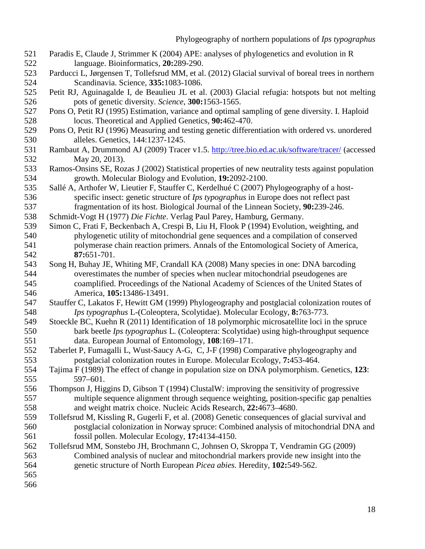- <span id="page-18-2"></span> Paradis E, Claude J, Strimmer K (2004) APE: analyses of phylogenetics and evolution in R language. Bioinformatics*,* **20:**289-290.
- <span id="page-18-0"></span>Parducci L, Jørgensen T, Tollefsrud MM, et al. (2012) Glacial survival of boreal trees in northern Scandinavia. Science*,* **335:**1083-1086.
- Petit RJ, Aguinagalde I, de Beaulieu JL et al. (2003) Glacial refugia: hotspots but not melting pots of genetic diversity. *Science*, **300:**1563-1565.
- Pons O, Petit RJ (1995) Estimation, variance and optimal sampling of gene diversity. I. Haploid locus. Theoretical and Applied Genetics, **90:**462-470.
- Pons O, Petit RJ (1996) Measuring and testing genetic differentiation with ordered vs. unordered alleles. Genetics, 144:1237-1245.
- Rambaut A, Drummond AJ (2009) Tracer v1.5. <http://tree.bio.ed.ac.uk/software/tracer/> (accessed May 20, 2013).
- Ramos-Onsins SE, Rozas J (2002) Statistical properties of new neutrality tests against population growth. Molecular Biology and Evolution*,* **19:**2092-2100.
- Sallé A, Arthofer W, Lieutier F, Stauffer C, Kerdelhué C (2007) Phylogeography of a host- specific insect: genetic structure of *Ips typographus* in Europe does not reflect past fragmentation of its host. Biological Journal of the Linnean Society*,* **90:**239-246.
- Schmidt-Vogt H (1977) *Die Fichte*. Verlag Paul Parey, Hamburg, Germany.
- Simon C, Frati F, Beckenbach A, Crespi B, Liu H, Flook P (1994) Evolution, weighting, and phylogenetic utility of mitochondrial gene sequences and a compilation of conserved polymerase chain reaction primers. Annals of the Entomological Society of America*,* **87:**651-701.
- Song H, Buhay JE, Whiting MF, Crandall KA (2008) Many species in one: DNA barcoding overestimates the number of species when nuclear mitochondrial pseudogenes are coamplified. Proceedings of the National Academy of Sciences of the United States of America*,* **105:**13486-13491.
- Stauffer C, Lakatos F, Hewitt GM (1999) Phylogeography and postglacial colonization routes of *Ips typographus* L-(Coleoptera, Scolytidae). Molecular Ecology*,* **8:**763-773.
- Stoeckle BC, Kuehn R (2011) Identification of 18 polymorphic microsatellite loci in the spruce bark beetle *Ips typographus* L. (Coleoptera: Scolytidae) using high-throughput sequence data. European Journal of Entomology, **108**:169–171.
- Taberlet P, Fumagalli L, Wust-Saucy A-G, C, J-F (1998) Comparative phylogeography and postglacial colonization routes in Europe. Molecular Ecology*,* **7:**453-464.
- Tajima F (1989) The effect of change in population size on DNA polymorphism. Genetics, **123**: 597–601.
- <span id="page-18-1"></span> Thompson J, Higgins D, Gibson T (1994) ClustalW: improving the sensitivity of progressive multiple sequence alignment through sequence weighting, position-specific gap penalties and weight matrix choice. Nucleic Acids Research*,* **22:**4673–4680.
- Tollefsrud M, Kissling R, Gugerli F, et al. (2008) Genetic consequences of glacial survival and postglacial colonization in Norway spruce: Combined analysis of mitochondrial DNA and fossil pollen. Molecular Ecology*,* **17:**4134-4150.
- Tollefsrud MM, Sonstebo JH, Brochmann C, Johnsen O, Skroppa T, Vendramin GG (2009) Combined analysis of nuclear and mitochondrial markers provide new insight into the genetic structure of North European *Picea abies*. Heredity*,* **102:**549-562.
- 
-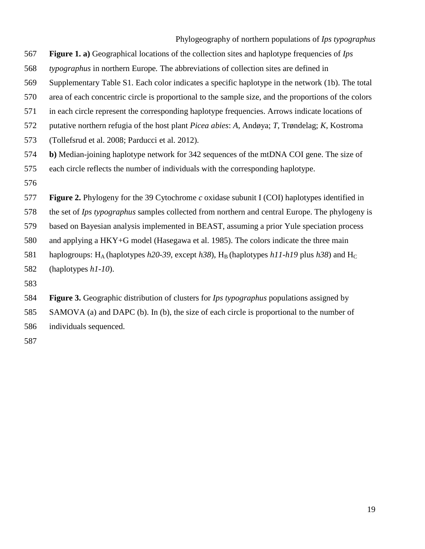- **Figure 1. a)** Geographical locations of the collection sites and haplotype frequencies of *Ips*
- *typographus* in northern Europe*.* The abbreviations of collection sites are defined in
- Supplementary Table S1. Each color indicates a specific haplotype in the network (1b). The total
- area of each concentric circle is proportional to the sample size, and the proportions of the colors
- in each circle represent the corresponding haplotype frequencies. Arrows indicate locations of
- putative northern refugia of the host plant *Picea abies*: *A*, Andøya; *T*, Trøndelag; *K*, Kostroma
- (Tollefsrud et al. 2008; Parducci et al. 2012).
- **b)** Median-joining haplotype network for 342 sequences of the mtDNA COI gene. The size of each circle reflects the number of individuals with the corresponding haplotype.
- 
- **Figure 2.** Phylogeny for the 39 Cytochrome *c* oxidase subunit I (COI) haplotypes identified in
- the set of *Ips typographus* samples collected from northern and central Europe. The phylogeny is
- based on Bayesian analysis implemented in BEAST, assuming a prior Yule speciation process
- and applying a HKY+G model (Hasegawa et al. 1985). The colors indicate the three main
- 581 haplogroups: H<sub>A</sub> (haplotypes *h20-39*, except *h38*), H<sub>B</sub> (haplotypes *h11-h19* plus *h38*) and H<sub>C</sub>
- (haplotypes *h1-10*).
- 

 **Figure 3.** Geographic distribution of clusters for *Ips typographus* populations assigned by SAMOVA (a) and DAPC (b). In (b), the size of each circle is proportional to the number of individuals sequenced.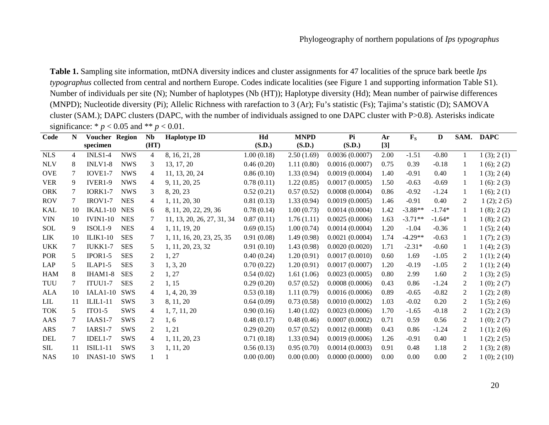**Table 1.** Sampling site information, mtDNA diversity indices and cluster assignments for 47 localities of the spruce bark beetle *Ips typographus* collected from central and northern Europe. Codes indicate localities (see Figure 1 and supporting information Table S1). Number of individuals per site (N); Number of haplotypes (Nb (HT)); Haplotype diversity (Hd); Mean number of pairwise differences (MNPD); Nucleotide diversity (Pi); Allelic Richness with rarefaction to 3 (Ar); Fu's statistic (Fs); Tajima's statistic (D); SAMOVA cluster (SAM.); DAPC clusters (DAPC, with the number of individuals assigned to one DAPC cluster with P>0.8). Asterisks indicate significance: \*  $p < 0.05$  and \*\*  $p < 0.01$ .

| Code       | N              | Voucher Region  |            | $\overline{ }$<br><b>Nb</b> | <b>Haplotype ID</b>        | Hd         | <b>MNPD</b> | Pi             | Ar    | $\mathbf{F}_{\mathbf{S}}$ | D        |              | SAM. DAPC       |
|------------|----------------|-----------------|------------|-----------------------------|----------------------------|------------|-------------|----------------|-------|---------------------------|----------|--------------|-----------------|
|            |                | specimen        |            | (HT)                        |                            | (S.D.)     | (S.D.)      | (S.D.)         | $[3]$ |                           |          |              |                 |
| <b>NLS</b> | $\overline{4}$ | $INLS1-4$       | <b>NWS</b> | $\overline{4}$              | 8, 16, 21, 28              | 1.00(0.18) | 2.50(1.69)  | 0.0036(0.0007) | 2.00  | $-1.51$                   | $-0.80$  | $\mathbf{1}$ | 1(3); 2(1)      |
| <b>NLV</b> | 8              | $INLV1-8$       | <b>NWS</b> | 3                           | 13, 17, 20                 | 0.46(0.20) | 1.11(0.80)  | 0.0016(0.0007) | 0.75  | 0.39                      | $-0.18$  | 1            | 1(6); 2(2)      |
| <b>OVE</b> | 7              | IOVE1-7         | <b>NWS</b> | $\overline{4}$              | 11, 13, 20, 24             | 0.86(0.10) | 1.33(0.94)  | 0.0019(0.0004) | 1.40  | $-0.91$                   | 0.40     | 1            | 1(3); 2(4)      |
| <b>VER</b> | 9              | IVER1-9         | <b>NWS</b> | 4                           | 9, 11, 20, 25              | 0.78(0.11) | 1.22(0.85)  | 0.0017(0.0005) | 1.50  | $-0.63$                   | $-0.69$  | -1           | 1(6): 2(3)      |
| <b>ORK</b> | 7              | <b>IORK1-7</b>  | <b>NWS</b> | 3                           | 8, 20, 23                  | 0.52(0.21) | 0.57(0.52)  | 0.0008(0.0004) | 0.86  | $-0.92$                   | $-1.24$  | -1           | 1(6); 2(1)      |
| <b>ROV</b> | 7              | $IROV1-7$       | <b>NES</b> | 4                           | 1, 11, 20, 30              | 0.81(0.13) | 1.33(0.94)  | 0.0019(0.0005) | 1.46  | $-0.91$                   | 0.40     | 2            | 1(2); 2(5)      |
| <b>KAL</b> | 10             | $IKAL1-10$      | <b>NES</b> | 6                           | 8, 11, 20, 22, 29, 36      | 0.78(0.14) | 1.00(0.73)  | 0.0014(0.0004) | 1.42  | $-3.88**$                 | $-1.74*$ | 1            | 1(8); 2(2)      |
| <b>VIN</b> | 10             | <b>IVIN1-10</b> | <b>NES</b> | 7                           | 11, 13, 20, 26, 27, 31, 34 | 0.87(0.11) | 1.76(1.11)  | 0.0025(0.0006) | 1.63  | $-3.71**$                 | $-1.64*$ | -1           | 1(8); 2(2)      |
| <b>SOL</b> | 9              | ISOL1-9         | <b>NES</b> | 4                           | 1, 11, 19, 20              | 0.69(0.15) | 1.00(0.74)  | 0.0014(0.0004) | 1.20  | $-1.04$                   | $-0.36$  | -1           | $1(5)$ ; $2(4)$ |
| LIK        | 10             | <b>ILIK1-10</b> | <b>SES</b> | 7                           | 1, 11, 16, 20, 23, 25, 35  | 0.91(0.08) | 1.49(0.98)  | 0.0021(0.0004) | 1.74  | $-4.29**$                 | $-0.63$  | 1            | 1(7); 2(3)      |
| <b>UKK</b> | 7              | IUKK1-7         | <b>SES</b> | 5                           | 1, 11, 20, 23, 32          | 0.91(0.10) | 1.43(0.98)  | 0.0020(0.0020) | 1.71  | $-2.31*$                  | $-0.60$  | 1            | 1(4); 2(3)      |
| POR        | 5              | $IPOR1-5$       | <b>SES</b> | 2                           | 1, 27                      | 0.40(0.24) | 1.20(0.91)  | 0.0017(0.0010) | 0.60  | 1.69                      | $-1.05$  | 2            | 1(1); 2(4)      |
| LAP        | 5              | $ILAP1-5$       | <b>SES</b> | 3                           | 1, 3, 20                   | 0.70(0.22) | 1.20(0.91)  | 0.0017(0.0007) | 1.20  | $-0.19$                   | $-1.05$  | 2            | 1(1); 2(4)      |
| <b>HAM</b> | 8              | IHAM1-8         | <b>SES</b> | 2                           | 1, 27                      | 0.54(0.02) | 1.61(1.06)  | 0.0023(0.0005) | 0.80  | 2.99                      | 1.60     | 2            | 1(3); 2(5)      |
| TUU        | 7              | <b>ITUU1-7</b>  | <b>SES</b> | 2                           | 1, 15                      | 0.29(0.20) | 0.57(0.52)  | 0.0008(0.0006) | 0.43  | 0.86                      | $-1.24$  | 2            | 1(0); 2(7)      |
| ALA        | 10             | $IALA1-10$      | SWS        | 4                           | 1, 4, 20, 39               | 0.53(0.18) | 1.11(0.79)  | 0.0016(0.0006) | 0.89  | $-0.65$                   | $-0.82$  | 2            | 1(2); 2(8)      |
| <b>LIL</b> | 11             | $ILL1-11$       | <b>SWS</b> | 3                           | 8, 11, 20                  | 0.64(0.09) | 0.73(0.58)  | 0.0010(0.0002) | 1.03  | $-0.02$                   | 0.20     | 2            | $1(5)$ ; $2(6)$ |
| <b>TOK</b> | 5              | $ITO1-5$        | <b>SWS</b> | 4                           | 1, 7, 11, 20               | 0.90(0.16) | 1.40(1.02)  | 0.0023(0.0006) | 1.70  | $-1.65$                   | $-0.18$  | 2            | 1(2); 2(3)      |
| AAS        |                | $IASAS1-7$      | <b>SWS</b> | 2                           | 1, 6                       | 0.48(0.17) | 0.48(0.46)  | 0.0007(0.0002) | 0.71  | 0.59                      | 0.56     | 2            | 1(0); 2(7)      |
| ARS        |                | <b>IARS1-7</b>  | SWS        | 2                           | 1, 21                      | 0.29(0.20) | 0.57(0.52)  | 0.0012(0.0008) | 0.43  | 0.86                      | $-1.24$  | 2            | 1(1); 2(6)      |
| DEL        | 7              | IDEL1-7         | SWS        | 4                           | 1, 11, 20, 23              | 0.71(0.18) | 1.33(0.94)  | 0.0019(0.0006) | 1.26  | $-0.91$                   | 0.40     | 1            | 1(2); 2(5)      |
| SIL        | 11             | <b>ISIL1-11</b> | SWS        | 3                           | 1, 11, 20                  | 0.56(0.13) | 0.95(0.70)  | 0.0014(0.0003) | 0.91  | 0.48                      | 1.18     | 2            | 1(3); 2(8)      |
| <b>NAS</b> | 10             | $INAS1-10$      | <b>SWS</b> |                             |                            | 0.00(0.00) | 0.00(0.00)  | 0.0000(0.0000) | 0.00  | 0.00                      | 0.00     | 2            | 1(0); 2(10)     |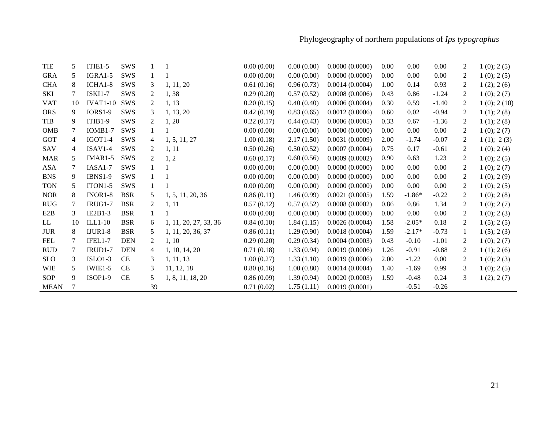| TIE              | 5  | $ITIE1-5$            | SWS        |                | -1                    | 0.00(0.00) | 0.00(0.00) | 0.0000(0.0000) | 0.00 | 0.00     | 0.00     | 2            | 1(0); 2(5)      |
|------------------|----|----------------------|------------|----------------|-----------------------|------------|------------|----------------|------|----------|----------|--------------|-----------------|
| <b>GRA</b>       | 5  | $IGRA1-5$            | <b>SWS</b> | 1              |                       | 0.00(0.00) | 0.00(0.00) | 0.0000(0.0000) | 0.00 | 0.00     | $0.00\,$ | 2            | $1(0)$ ; $2(5)$ |
| <b>CHA</b>       | 8  | ICHA1-8              | SWS        | 3              | 1, 11, 20             | 0.61(0.16) | 0.96(0.73) | 0.0014(0.0004) | 1.00 | 0.14     | 0.93     | 2            | 1(2); 2(6)      |
| SKI              | 7  | <b>ISKI1-7</b>       | <b>SWS</b> | 2              | 1,38                  | 0.29(0.20) | 0.57(0.52) | 0.0008(0.0006) | 0.43 | 0.86     | $-1.24$  | 2            | 1(0); 2(7)      |
| <b>VAT</b>       | 10 | <b>IVAT1-10</b>      | SWS        | 2              | 1, 13                 | 0.20(0.15) | 0.40(0.40) | 0.0006(0.0004) | 0.30 | 0.59     | $-1.40$  | 2            | 1(0); 2(10)     |
| <b>ORS</b>       | 9  | <b>IORS1-9</b>       | SWS        | 3              | 1, 13, 20             | 0.42(0.19) | 0.83(0.65) | 0.0012(0.0006) | 0.60 | 0.02     | $-0.94$  | 2            | 1(1); 2(8)      |
| TIB              | 9  | $ITIB1-9$            | <b>SWS</b> | 2              | 1, 20                 | 0.22(0.17) | 0.44(0.43) | 0.0006(0.0005) | 0.33 | 0.67     | $-1.36$  | 2            | 1(1); 2(8)      |
| <b>OMB</b>       | 7  | $IOMB1-7$            | SWS        |                |                       | 0.00(0.00) | 0.00(0.00) | 0.0000(0.0000) | 0.00 | 0.00     | 0.00     | 2            | 1(0); 2(7)      |
| GOT              | 4  | IGOT <sub>1-4</sub>  | SWS        | $\overline{4}$ | 1, 5, 11, 27          | 1.00(0.18) | 2.17(1.50) | 0.0031(0.0009) | 2.00 | $-1.74$  | $-0.07$  | 2            | 1(1); 2(3)      |
| SAV              | 4  | $ISAV1-4$            | SWS        | 2              | 1, 11                 | 0.50(0.26) | 0.50(0.52) | 0.0007(0.0004) | 0.75 | 0.17     | $-0.61$  | 2            | 1(0); 2(4)      |
| <b>MAR</b>       | 5  | $IMAR1-5$            | <b>SWS</b> | 2              | 1, 2                  | 0.60(0.17) | 0.60(0.56) | 0.0009(0.0002) | 0.90 | 0.63     | 1.23     | 2            | 1(0); 2(5)      |
| ASA              | 7  | IASA1-7              | SWS        |                |                       | 0.00(0.00) | 0.00(0.00) | 0.0000(0.0000) | 0.00 | 0.00     | $0.00\,$ | 2            | 1(0); 2(7)      |
| <b>BNS</b>       | 9  | <b>IBNS1-9</b>       | SWS        |                |                       | 0.00(0.00) | 0.00(0.00) | 0.0000(0.0000) | 0.00 | 0.00     | 0.00     | 2            | 1(0); 2(9)      |
| <b>TON</b>       | 5  | ITON <sub>1</sub> -5 | <b>SWS</b> |                |                       | 0.00(0.00) | 0.00(0.00) | 0.0000(0.0000) | 0.00 | 0.00     | 0.00     | 2            | 1(0); 2(5)      |
| <b>NOR</b>       | 8  | INOR <sub>1</sub> -8 | <b>BSR</b> | 5              | 1, 5, 11, 20, 36      | 0.86(0.11) | 1.46(0.99) | 0.0021(0.0005) | 1.59 | $-1.86*$ | $-0.22$  | 2            | 1(0); 2(8)      |
| <b>RUG</b>       | 7  | <b>IRUG1-7</b>       | <b>BSR</b> | 2              | 1, 11                 | 0.57(0.12) | 0.57(0.52) | 0.0008(0.0002) | 0.86 | 0.86     | 1.34     | 2            | 1(0); 2(7)      |
| E <sub>2</sub> B | 3  | $IE2B1-3$            | <b>BSR</b> |                |                       | 0.00(0.00) | 0.00(0.00) | 0.0000(0.0000) | 0.00 | 0.00     | 0.00     | 2            | 1(0); 2(3)      |
| LL               | 10 | $ILL1-10$            | <b>BSR</b> | 6              | 1, 11, 20, 27, 33, 36 | 0.84(0.10) | 1.84(1.15) | 0.0026(0.0004) | 1.58 | $-2.05*$ | 0.18     | 2            | 1(5); 2(5)      |
| <b>JUR</b>       | 8  | $IJUR1-8$            | <b>BSR</b> | 5              | 1, 11, 20, 36, 37     | 0.86(0.11) | 1.29(0.90) | 0.0018(0.0004) | 1.59 | $-2.17*$ | $-0.73$  | $\mathbf{1}$ | 1(5); 2(3)      |
| <b>FEL</b>       | 7  | IFEL1-7              | <b>DEN</b> | 2              | 1, 10                 | 0.29(0.20) | 0.29(0.34) | 0.0004(0.0003) | 0.43 | $-0.10$  | $-1.01$  | 2            | 1(0); 2(7)      |
| <b>RUD</b>       | 7  | IRUD1-7              | <b>DEN</b> | 4              | 1, 10, 14, 20         | 0.71(0.18) | 1.33(0.94) | 0.0019(0.0006) | 1.26 | $-0.91$  | $-0.88$  | 2            | 1(1); 2(6)      |
| <b>SLO</b>       | 3  | $ISLO1-3$            | CE         | 3              | 1, 11, 13             | 1.00(0.27) | 1.33(1.10) | 0.0019(0.0006) | 2.00 | $-1.22$  | 0.00     | 2            | 1(0); 2(3)      |
| <b>WIE</b>       | 5  | $IWIE1-5$            | <b>CE</b>  | 3              | 11, 12, 18            | 0.80(0.16) | 1.00(0.80) | 0.0014(0.0004) | 1.40 | $-1.69$  | 0.99     | 3            | 1(0); 2(5)      |
| <b>SOP</b>       | 9  | $ISOP1-9$            | CE         | 5              | 1, 8, 11, 18, 20      | 0.86(0.09) | 1.39(0.94) | 0.0020(0.0003) | 1.59 | $-0.48$  | 0.24     | 3            | 1(2); 2(7)      |
| <b>MEAN</b>      |    |                      |            | 39             |                       | 0.71(0.02) | 1.75(1.11) | 0.0019(0.0001) |      | $-0.51$  | $-0.26$  |              |                 |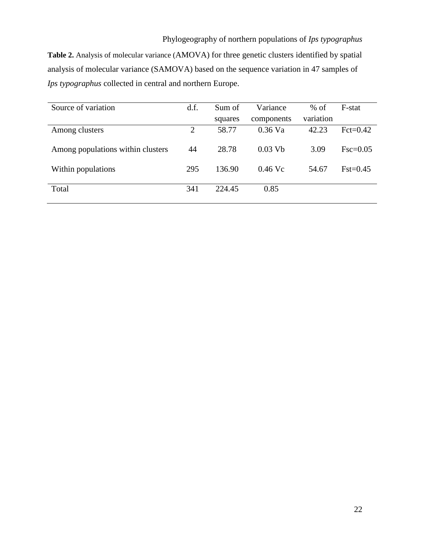Table 2. Analysis of molecular variance (AMOVA) for three genetic clusters identified by spatial analysis of molecular variance (SAMOVA) based on the sequence variation in 47 samples of *Ips typographus* collected in central and northern Europe.

| Source of variation               | d.f.           | Sum of  | Variance   | $%$ of    | F-stat     |
|-----------------------------------|----------------|---------|------------|-----------|------------|
|                                   |                | squares | components | variation |            |
| Among clusters                    | $\overline{2}$ | 58.77   | $0.36$ Va  | 42.23     | $Fct=0.42$ |
| Among populations within clusters | 44             | 28.78   | $0.03$ Vb  | 3.09      | $Fsc=0.05$ |
| Within populations                | 295            | 136.90  | $0.46$ Vc  | 54.67     | $Fst=0.45$ |
| Total                             | 341            | 224.45  | 0.85       |           |            |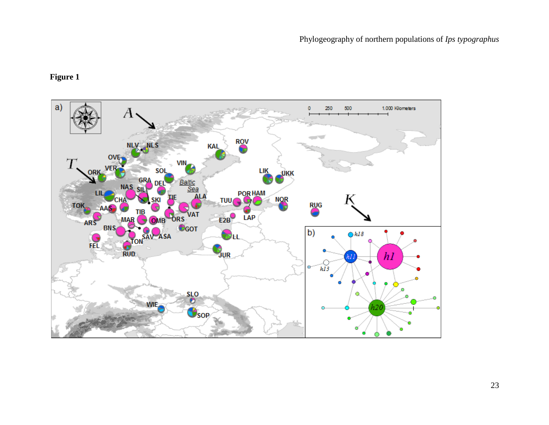## **Figure 1**

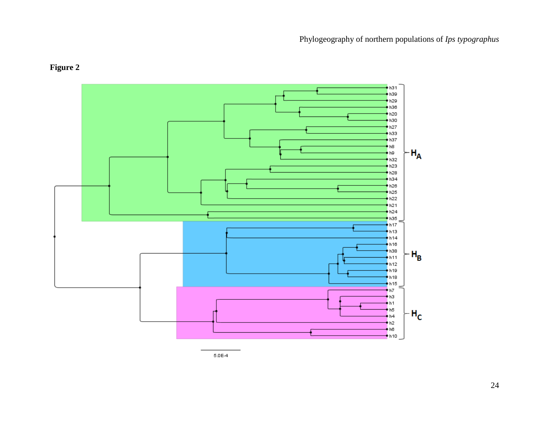

# **Figure 2**

 $5.0E-4$